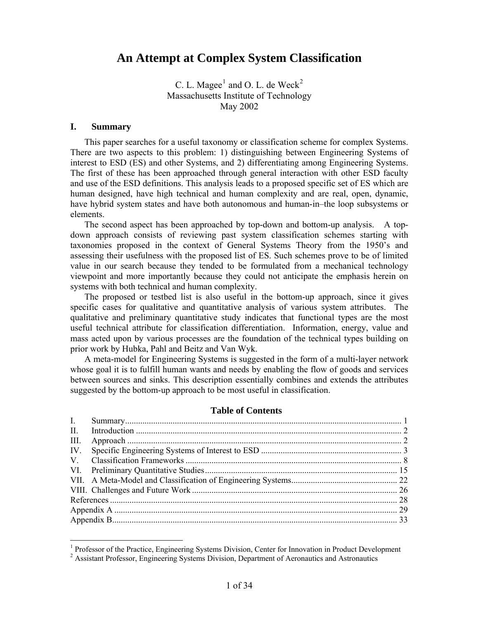# <span id="page-0-2"></span>**An Attempt at Complex System Classification**

C. L. Magee<sup>[1](#page-0-0)</sup> and O. L. de Weck<sup>[2](#page-0-1)</sup> Massachusetts Institute of Technology May 2002

### **I. Summary**

This paper searches for a useful taxonomy or classification scheme for complex Systems. There are two aspects to this problem: 1) distinguishing between Engineering Systems of interest to ESD (ES) and other Systems, and 2) differentiating among Engineering Systems. The first of these has been approached through general interaction with other ESD faculty and use of the ESD definitions. This analysis leads to a proposed specific set of ES which are human designed, have high technical and human complexity and are real, open, dynamic, have hybrid system states and have both autonomous and human-in–the loop subsystems or elements.

The second aspect has been approached by top-down and bottom-up analysis. A topdown approach consists of reviewing past system classification schemes starting with taxonomies proposed in the context of General Systems Theory from the 1950's and assessing their usefulness with the proposed list of ES. Such schemes prove to be of limited value in our search because they tended to be formulated from a mechanical technology viewpoint and more importantly because they could not anticipate the emphasis herein on systems with both technical and human complexity.

The proposed or testbed list is also useful in the bottom-up approach, since it gives specific cases for qualitative and quantitative analysis of various system attributes. The qualitative and preliminary quantitative study indicates that functional types are the most useful technical attribute for classification differentiation. Information, energy, value and mass acted upon by various processes are the foundation of the technical types building on prior work by Hubka, Pahl and Beitz and Van Wyk.

A meta-model for Engineering Systems is suggested in the form of a multi-layer network whose goal it is to fulfill human wants and needs by enabling the flow of goods and services between sources and sinks. This description essentially combines and extends the attributes suggested by the bottom-up approach to be most useful in classification.

### **Table of Contents**

<span id="page-0-1"></span><span id="page-0-0"></span><sup>&</sup>lt;sup>1</sup> Professor of the Practice, Engineering Systems Division, Center for Innovation in Product Development <sup>2</sup> Assistant Professor, Engineering Systems Division, Department of Aeronautics and Astronautics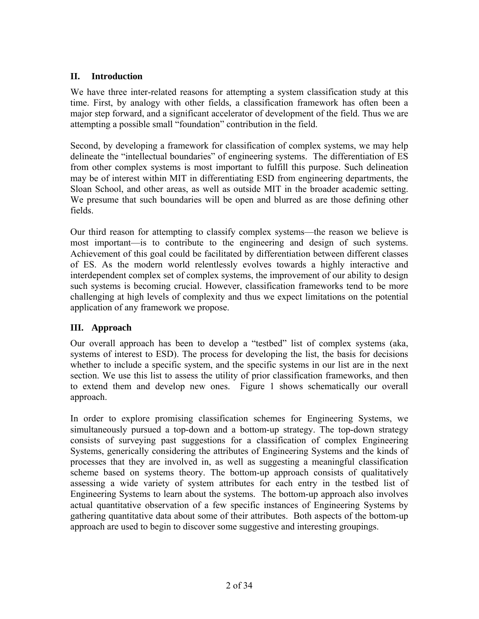# <span id="page-1-0"></span>**II. Introduction**

We have three inter-related reasons for attempting a system classification study at this time. First, by analogy with other fields, a classification framework has often been a major step forward, and a significant accelerator of development of the field. Thus we are attempting a possible small "foundation" contribution in the field.

Second, by developing a framework for classification of complex systems, we may help delineate the "intellectual boundaries" of engineering systems. The differentiation of ES from other complex systems is most important to fulfill this purpose. Such delineation may be of interest within MIT in differentiating ESD from engineering departments, the Sloan School, and other areas, as well as outside MIT in the broader academic setting. We presume that such boundaries will be open and blurred as are those defining other fields.

Our third reason for attempting to classify complex systems—the reason we believe is most important—is to contribute to the engineering and design of such systems. Achievement of this goal could be facilitated by differentiation between different classes of ES. As the modern world relentlessly evolves towards a highly interactive and interdependent complex set of complex systems, the improvement of our ability to design such systems is becoming crucial. However, classification frameworks tend to be more challenging at high levels of complexity and thus we expect limitations on the potential application of any framework we propose.

# **III. Approach**

Our overall approach has been to develop a "testbed" list of complex systems (aka, systems of interest to ESD). The process for developing the list, the basis for decisions whether to include a specific system, and the specific systems in our list are in the next section. We use this list to assess the utility of prior classification frameworks, and then to extend them and develop new ones. Figure 1 shows schematically our overall approach.

In order to explore promising classification schemes for Engineering Systems, we simultaneously pursued a top-down and a bottom-up strategy. The top-down strategy consists of surveying past suggestions for a classification of complex Engineering Systems, generically considering the attributes of Engineering Systems and the kinds of processes that they are involved in, as well as suggesting a meaningful classification scheme based on systems theory. The bottom-up approach consists of qualitatively assessing a wide variety of system attributes for each entry in the testbed list of Engineering Systems to learn about the systems. The bottom-up approach also involves actual quantitative observation of a few specific instances of Engineering Systems by gathering quantitative data about some of their attributes. Both aspects of the bottom-up approach are used to begin to discover some suggestive and interesting groupings.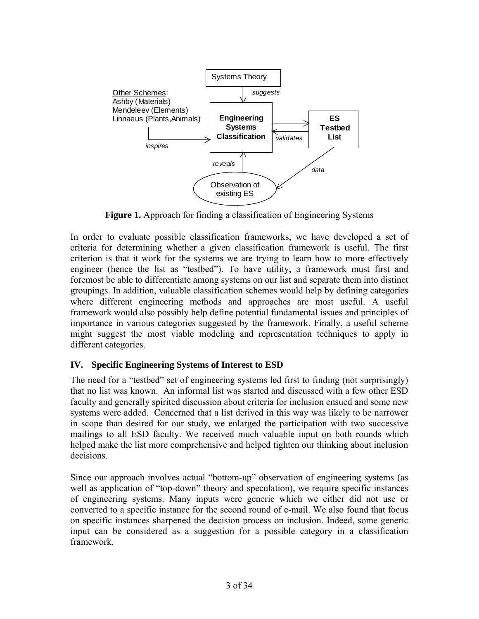<span id="page-2-0"></span>

**Figure 1.** Approach for finding a classification of Engineering Systems

In order to evaluate possible classification frameworks, we have developed a set of criteria for determining whether a given classification framework is useful. The first criterion is that it work for the systems we are trying to learn how to more effectively engineer (hence the list as "testbed"). To have utility, a framework must first and foremost be able to differentiate among systems on our list and separate them into distinct groupings. In addition, valuable classification schemes would help by defining categories where different engineering methods and approaches are most useful. A useful framework would also possibly help define potential fundamental issues and principles of importance in various categories suggested by the framework. Finally, a useful scheme might suggest the most viable modeling and representation techniques to apply in different categories.

# **IV. Specific Engineering Systems of Interest to ESD**

The need for a "testbed" set of engineering systems led first to finding (not surprisingly) that no list was known. An informal list was started and discussed with a few other ESD faculty and generally spirited discussion about criteria for inclusion ensued and some new systems were added. Concerned that a list derived in this way was likely to be narrower in scope than desired for our study, we enlarged the participation with two successive mailings to all ESD faculty. We received much valuable input on both rounds which helped make the list more comprehensive and helped tighten our thinking about inclusion decisions.

Since our approach involves actual "bottom-up" observation of engineering systems (as well as application of "top-down" theory and speculation), we require specific instances of engineering systems. Many inputs were generic which we either did not use or converted to a specific instance for the second round of e-mail. We also found that focus on specific instances sharpened the decision process on inclusion. Indeed, some generic input can be considered as a suggestion for a possible category in a classification framework.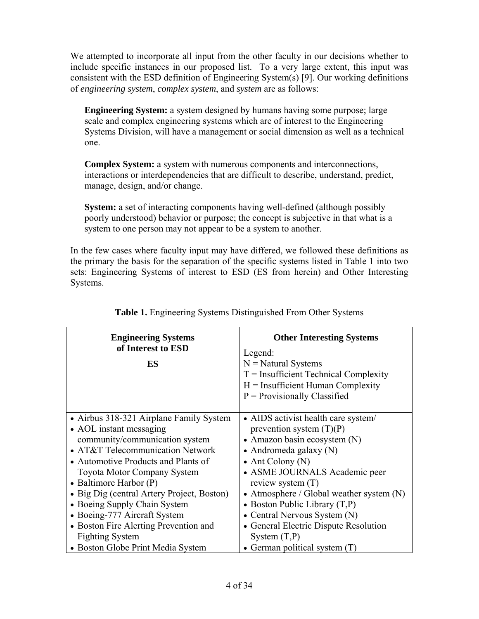We attempted to incorporate all input from the other faculty in our decisions whether to include specific instances in our proposed list. To a very large extent, this input was consistent with the ESD definition of Engineering System(s) [9]. Our working definitions of *engineering system*, *complex system*, and *system* are as follows:

**Engineering System:** a system designed by humans having some purpose; large scale and complex engineering systems which are of interest to the Engineering Systems Division, will have a management or social dimension as well as a technical one.

**Complex System:** a system with numerous components and interconnections, interactions or interdependencies that are difficult to describe, understand, predict, manage, design, and/or change.

**System:** a set of interacting components having well-defined (although possibly poorly understood) behavior or purpose; the concept is subjective in that what is a system to one person may not appear to be a system to another.

In the few cases where faculty input may have differed, we followed these definitions as the primary the basis for the separation of the specific systems listed in Table 1 into two sets: Engineering Systems of interest to ESD (ES from herein) and Other Interesting Systems.

| <b>Engineering Systems</b><br>of Interest to ESD<br>ES | <b>Other Interesting Systems</b><br>Legend:<br>$N = Natural Systems$<br>$T =$ Insufficient Technical Complexity<br>$H =$ Insufficient Human Complexity<br>$P =$ Provisionally Classified |
|--------------------------------------------------------|------------------------------------------------------------------------------------------------------------------------------------------------------------------------------------------|
| • Airbus 318-321 Airplane Family System                | • AIDS activist health care system/                                                                                                                                                      |
| • AOL instant messaging                                | prevention system $(T)(P)$                                                                                                                                                               |
| community/communication system                         | • Amazon basin ecosystem $(N)$                                                                                                                                                           |
| • AT&T Telecommunication Network                       | • Andromeda galaxy $(N)$                                                                                                                                                                 |
| • Automotive Products and Plants of                    | • Ant Colony $(N)$                                                                                                                                                                       |
| <b>Toyota Motor Company System</b>                     | • ASME JOURNALS Academic peer                                                                                                                                                            |
| • Baltimore Harbor $(P)$                               | review system $(T)$                                                                                                                                                                      |
| • Big Dig (central Artery Project, Boston)             | • Atmosphere / Global weather system $(N)$                                                                                                                                               |
| • Boeing Supply Chain System                           | • Boston Public Library $(T,P)$                                                                                                                                                          |
| • Boeing-777 Aircraft System                           | • Central Nervous System (N)                                                                                                                                                             |
| • Boston Fire Alerting Prevention and                  | • General Electric Dispute Resolution                                                                                                                                                    |
| <b>Fighting System</b>                                 | System $(T,P)$                                                                                                                                                                           |
| • Boston Globe Print Media System                      | • German political system $(T)$                                                                                                                                                          |

|  |  | Table 1. Engineering Systems Distinguished From Other Systems |  |
|--|--|---------------------------------------------------------------|--|
|--|--|---------------------------------------------------------------|--|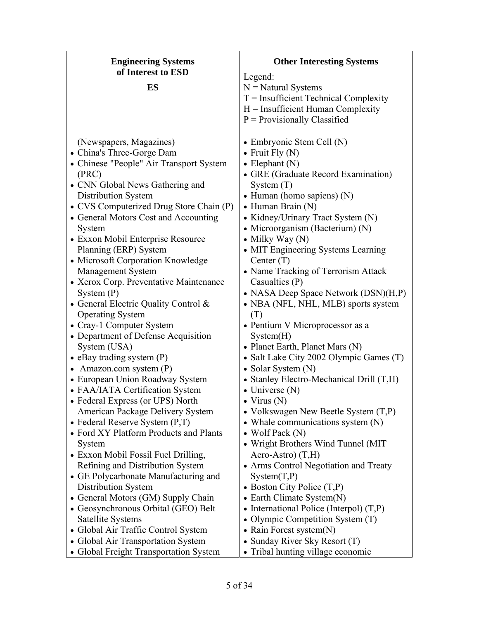| <b>Engineering Systems</b>                                               | <b>Other Interesting Systems</b>             |
|--------------------------------------------------------------------------|----------------------------------------------|
| of Interest to ESD                                                       | Legend:                                      |
| ES                                                                       | $N = Natural Systems$                        |
|                                                                          | $T =$ Insufficient Technical Complexity      |
|                                                                          | $H =$ Insufficient Human Complexity          |
|                                                                          | $P =$ Provisionally Classified               |
|                                                                          |                                              |
| (Newspapers, Magazines)                                                  | • Embryonic Stem Cell $(N)$                  |
| • China's Three-Gorge Dam                                                | • Fruit Fly $(N)$                            |
| • Chinese "People" Air Transport System                                  | • Elephant $(N)$                             |
| (PRC)                                                                    | • GRE (Graduate Record Examination)          |
| • CNN Global News Gathering and<br>Distribution System                   | System $(T)$<br>• Human (homo sapiens) $(N)$ |
| • CVS Computerized Drug Store Chain (P)                                  | • Human Brain $(N)$                          |
| • General Motors Cost and Accounting                                     | • Kidney/Urinary Tract System (N)            |
| System                                                                   | · Microorganism (Bacterium) (N)              |
| • Exxon Mobil Enterprise Resource                                        | • Milky Way $(N)$                            |
| Planning (ERP) System                                                    | • MIT Engineering Systems Learning           |
| • Microsoft Corporation Knowledge                                        | Center $(T)$                                 |
| Management System                                                        | • Name Tracking of Terrorism Attack          |
| • Xerox Corp. Preventative Maintenance                                   | Casualties $(P)$                             |
| System $(P)$                                                             | • NASA Deep Space Network (DSN)(H,P)         |
| • General Electric Quality Control $\&$                                  | • NBA (NFL, NHL, MLB) sports system          |
| <b>Operating System</b>                                                  | (T)                                          |
| • Cray-1 Computer System<br>• Department of Defense Acquisition          | • Pentium V Microprocessor as a<br>System(H) |
| System (USA)                                                             | • Planet Earth, Planet Mars (N)              |
| • eBay trading system $(P)$                                              | • Salt Lake City 2002 Olympic Games (T)      |
| Amazon.com system (P)                                                    | • Solar System $(N)$                         |
| • European Union Roadway System                                          | • Stanley Electro-Mechanical Drill (T,H)     |
| • FAA/IATA Certification System                                          | • Universe $(N)$                             |
| Federal Express (or UPS) North                                           | Virus $(N)$                                  |
| American Package Delivery System                                         | • Volkswagen New Beetle System $(T,P)$       |
| • Federal Reserve System $(P,T)$                                         | • Whale communications system $(N)$          |
| • Ford XY Platform Products and Plants                                   | • Wolf Pack $(N)$                            |
| System                                                                   | • Wright Brothers Wind Tunnel (MIT)          |
| • Exxon Mobil Fossil Fuel Drilling,                                      | Aero-Astro) $(T,H)$                          |
| Refining and Distribution System<br>• GE Polycarbonate Manufacturing and | • Arms Control Negotiation and Treaty        |
| Distribution System                                                      | System(T, P)<br>• Boston City Police $(T,P)$ |
| • General Motors (GM) Supply Chain                                       | • Earth Climate System $(N)$                 |
| • Geosynchronous Orbital (GEO) Belt                                      | • International Police (Interpol) $(T,P)$    |
| Satellite Systems                                                        | • Olympic Competition System (T)             |
| • Global Air Traffic Control System                                      | • Rain Forest system $(N)$                   |
| • Global Air Transportation System                                       | • Sunday River Sky Resort (T)                |
| • Global Freight Transportation System                                   | • Tribal hunting village economic            |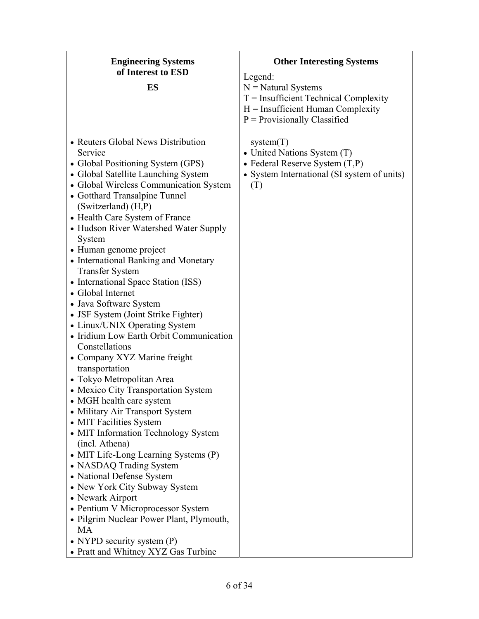| <b>Engineering Systems</b><br>of Interest to ESD                        | <b>Other Interesting Systems</b>                                 |
|-------------------------------------------------------------------------|------------------------------------------------------------------|
|                                                                         | Legend:                                                          |
| ES                                                                      | $N =$ Natural Systems<br>$T =$ Insufficient Technical Complexity |
|                                                                         | $H =$ Insufficient Human Complexity                              |
|                                                                         | $P =$ Provisionally Classified                                   |
|                                                                         |                                                                  |
| • Reuters Global News Distribution<br>Service                           | system(T)<br>• United Nations System (T)                         |
| • Global Positioning System (GPS)                                       | • Federal Reserve System $(T,P)$                                 |
| • Global Satellite Launching System                                     | • System International (SI system of units)                      |
| • Global Wireless Communication System                                  | (T)                                                              |
| • Gotthard Transalpine Tunnel                                           |                                                                  |
| (Switzerland) (H,P)                                                     |                                                                  |
| • Health Care System of France<br>• Hudson River Watershed Water Supply |                                                                  |
| System                                                                  |                                                                  |
| • Human genome project                                                  |                                                                  |
| • International Banking and Monetary                                    |                                                                  |
| <b>Transfer System</b>                                                  |                                                                  |
| • International Space Station (ISS)<br>• Global Internet                |                                                                  |
| • Java Software System                                                  |                                                                  |
| • JSF System (Joint Strike Fighter)                                     |                                                                  |
| • Linux/UNIX Operating System                                           |                                                                  |
| • Iridium Low Earth Orbit Communication                                 |                                                                  |
| Constellations<br>• Company XYZ Marine freight                          |                                                                  |
| transportation                                                          |                                                                  |
| • Tokyo Metropolitan Area                                               |                                                                  |
| • Mexico City Transportation System                                     |                                                                  |
| • MGH health care system                                                |                                                                  |
| • Military Air Transport System<br>• MIT Facilities System              |                                                                  |
| • MIT Information Technology System                                     |                                                                  |
| (incl. Athena)                                                          |                                                                  |
| • MIT Life-Long Learning Systems (P)                                    |                                                                  |
| • NASDAQ Trading System                                                 |                                                                  |
| • National Defense System<br>• New York City Subway System              |                                                                  |
| • Newark Airport                                                        |                                                                  |
| • Pentium V Microprocessor System                                       |                                                                  |
| • Pilgrim Nuclear Power Plant, Plymouth,                                |                                                                  |
| MA                                                                      |                                                                  |
| • NYPD security system $(P)$                                            |                                                                  |
| • Pratt and Whitney XYZ Gas Turbine                                     |                                                                  |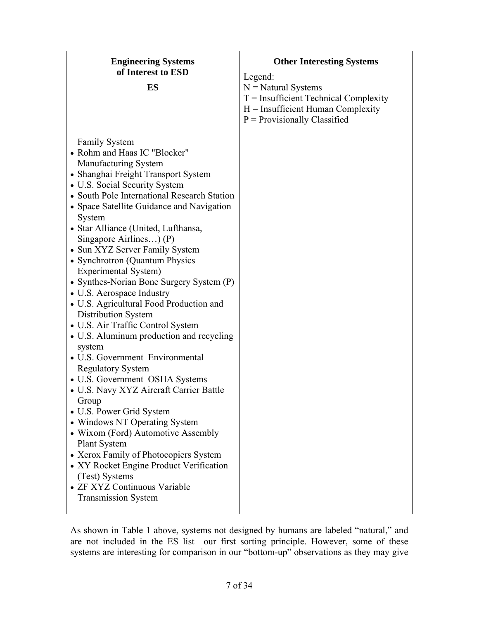| <b>Engineering Systems</b><br>of Interest to ESD<br>ES                                                                                                                                                                                                                                                                                                                                                                                                                                                                                                                                                                                                                                                                                                                                                                                                                                                                                                                                                                                                                                                               | <b>Other Interesting Systems</b><br>Legend:<br>$N =$ Natural Systems<br>$T =$ Insufficient Technical Complexity<br>$H =$ Insufficient Human Complexity<br>$P =$ Provisionally Classified |
|----------------------------------------------------------------------------------------------------------------------------------------------------------------------------------------------------------------------------------------------------------------------------------------------------------------------------------------------------------------------------------------------------------------------------------------------------------------------------------------------------------------------------------------------------------------------------------------------------------------------------------------------------------------------------------------------------------------------------------------------------------------------------------------------------------------------------------------------------------------------------------------------------------------------------------------------------------------------------------------------------------------------------------------------------------------------------------------------------------------------|------------------------------------------------------------------------------------------------------------------------------------------------------------------------------------------|
| <b>Family System</b><br>• Rohm and Haas IC "Blocker"<br>Manufacturing System<br>• Shanghai Freight Transport System<br>• U.S. Social Security System<br>• South Pole International Research Station<br>• Space Satellite Guidance and Navigation<br>System<br>• Star Alliance (United, Lufthansa,<br>Singapore Airlines $)$ (P)<br>• Sun XYZ Server Family System<br>• Synchrotron (Quantum Physics<br>Experimental System)<br>• Synthes-Norian Bone Surgery System (P)<br>• U.S. Aerospace Industry<br>• U.S. Agricultural Food Production and<br>Distribution System<br>• U.S. Air Traffic Control System<br>• U.S. Aluminum production and recycling<br>system<br>• U.S. Government Environmental<br><b>Regulatory System</b><br>• U.S. Government OSHA Systems<br>• U.S. Navy XYZ Aircraft Carrier Battle<br>Group<br>• U.S. Power Grid System<br>• Windows NT Operating System<br>• Wixom (Ford) Automotive Assembly<br><b>Plant System</b><br>• Xerox Family of Photocopiers System<br>• XY Rocket Engine Product Verification<br>(Test) Systems<br>• ZF XYZ Continuous Variable<br><b>Transmission System</b> |                                                                                                                                                                                          |

As shown in Table 1 above, systems not designed by humans are labeled "natural," and are not included in the ES list—our first sorting principle. However, some of these systems are interesting for comparison in our "bottom-up" observations as they may give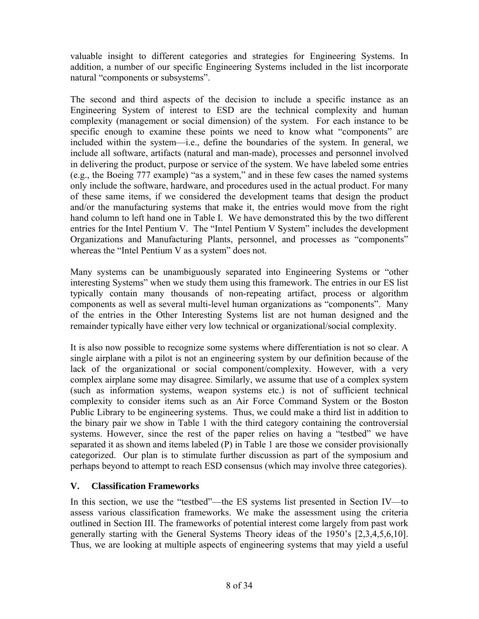<span id="page-7-0"></span>valuable insight to different categories and strategies for Engineering Systems. In addition, a number of our specific Engineering Systems included in the list incorporate natural "components or subsystems".

The second and third aspects of the decision to include a specific instance as an Engineering System of interest to ESD are the technical complexity and human complexity (management or social dimension) of the system. For each instance to be specific enough to examine these points we need to know what "components" are included within the system—i.e., define the boundaries of the system. In general, we include all software, artifacts (natural and man-made), processes and personnel involved in delivering the product, purpose or service of the system. We have labeled some entries (e.g., the Boeing 777 example) "as a system," and in these few cases the named systems only include the software, hardware, and procedures used in the actual product. For many of these same items, if we considered the development teams that design the product and/or the manufacturing systems that make it, the entries would move from the right hand column to left hand one in Table I. We have demonstrated this by the two different entries for the Intel Pentium V. The "Intel Pentium V System" includes the development Organizations and Manufacturing Plants, personnel, and processes as "components" whereas the "Intel Pentium V as a system" does not.

Many systems can be unambiguously separated into Engineering Systems or "other interesting Systems" when we study them using this framework. The entries in our ES list typically contain many thousands of non-repeating artifact, process or algorithm components as well as several multi-level human organizations as "components". Many of the entries in the Other Interesting Systems list are not human designed and the remainder typically have either very low technical or organizational/social complexity.

It is also now possible to recognize some systems where differentiation is not so clear. A single airplane with a pilot is not an engineering system by our definition because of the lack of the organizational or social component/complexity. However, with a very complex airplane some may disagree. Similarly, we assume that use of a complex system (such as information systems, weapon systems etc.) is not of sufficient technical complexity to consider items such as an Air Force Command System or the Boston Public Library to be engineering systems. Thus, we could make a third list in addition to the binary pair we show in Table 1 with the third category containing the controversial systems. However, since the rest of the paper relies on having a "testbed" we have separated it as shown and items labeled (P) in Table 1 are those we consider provisionally categorized. Our plan is to stimulate further discussion as part of the symposium and perhaps beyond to attempt to reach ESD consensus (which may involve three categories).

# **V. Classification Frameworks**

In this section, we use the "testbed"—the ES systems list presented in Section IV—to assess various classification frameworks. We make the assessment using the criteria outlined in Section III. The frameworks of potential interest come largely from past work generally starting with the General Systems Theory ideas of the 1950's [2,3,4,5,6,10]. Thus, we are looking at multiple aspects of engineering systems that may yield a useful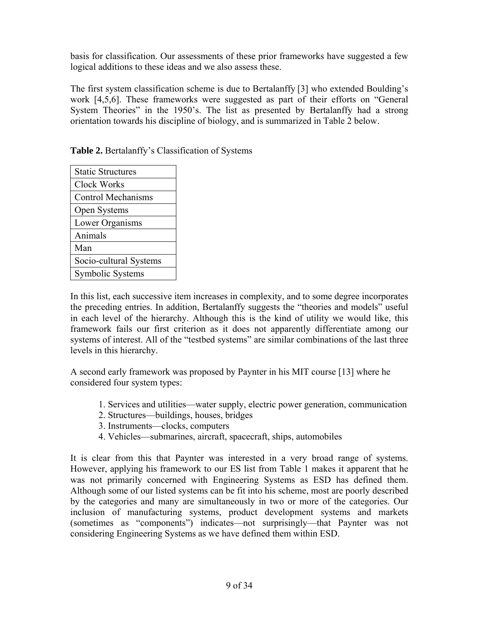basis for classification. Our assessments of these prior frameworks have suggested a few logical additions to these ideas and we also assess these.

The first system classification scheme is due to Bertalanffy [3] who extended Boulding's work [4,5,6]. These frameworks were suggested as part of their efforts on "General System Theories" in the 1950's. The list as presented by Bertalanffy had a strong orientation towards his discipline of biology, and is summarized in Table 2 below.

| <b>Static Structures</b>  |
|---------------------------|
| Clock Works               |
| <b>Control Mechanisms</b> |
| <b>Open Systems</b>       |
| Lower Organisms           |
| Animals                   |
| Man                       |
| Socio-cultural Systems    |
| Symbolic Systems          |

Table 2. Bertalanffy's Classification of Systems

In this list, each successive item increases in complexity, and to some degree incorporates the preceding entries. In addition, Bertalanffy suggests the "theories and models" useful in each level of the hierarchy. Although this is the kind of utility we would like, this framework fails our first criterion as it does not apparently differentiate among our systems of interest. All of the "testbed systems" are similar combinations of the last three levels in this hierarchy.

A second early framework was proposed by Paynter in his MIT course [13] where he considered four system types:

- 1. Services and utilities—water supply, electric power generation, communication
- 2. Structures—buildings, houses, bridges
- 3. Instruments—clocks, computers
- 4. Vehicles—submarines, aircraft, spacecraft, ships, automobiles

It is clear from this that Paynter was interested in a very broad range of systems. However, applying his framework to our ES list from Table 1 makes it apparent that he was not primarily concerned with Engineering Systems as ESD has defined them. Although some of our listed systems can be fit into his scheme, most are poorly described by the categories and many are simultaneously in two or more of the categories. Our inclusion of manufacturing systems, product development systems and markets (sometimes as "components") indicates—not surprisingly—that Paynter was not considering Engineering Systems as we have defined them within ESD.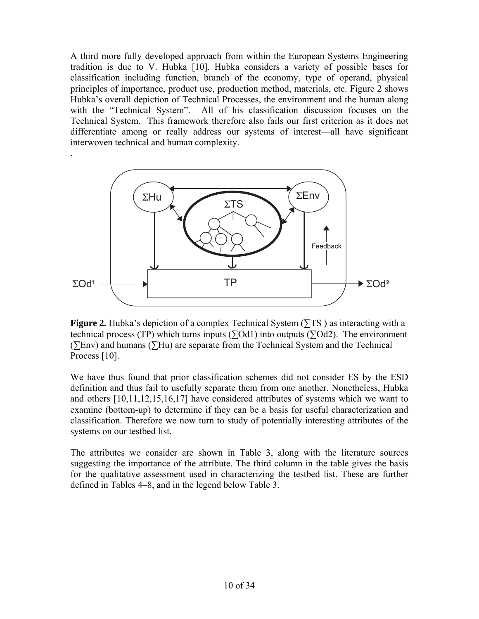A third more fully developed approach from within the European Systems Engineering tradition is due to V. Hubka [10]. Hubka considers a variety of possible bases for classification including function, branch of the economy, type of operand, physical principles of importance, product use, production method, materials, etc. Figure 2 shows Hubka's overall depiction of Technical Processes, the environment and the human along with the "Technical System". All of his classification discussion focuses on the Technical System. This framework therefore also fails our first criterion as it does not differentiate among or really address our systems of interest—all have significant interwoven technical and human complexity.



.

**Figure 2.** Hubka's depiction of a complex Technical System (∑TS ) as interacting with a technical process (TP) which turns inputs  $(\Sigma \text{Od1})$  into outputs ( $\Sigma \text{Od2}$ ). The environment (∑Env) and humans (∑Hu) are separate from the Technical System and the Technical Process [10].

We have thus found that prior classification schemes did not consider ES by the ESD definition and thus fail to usefully separate them from one another. Nonetheless, Hubka and others [10,11,12,15,16,17] have considered attributes of systems which we want to examine (bottom-up) to determine if they can be a basis for useful characterization and classification. Therefore we now turn to study of potentially interesting attributes of the systems on our testbed list.

The attributes we consider are shown in Table 3, along with the literature sources suggesting the importance of the attribute. The third column in the table gives the basis for the qualitative assessment used in characterizing the testbed list. These are further defined in Tables 4–8, and in the legend below Table 3.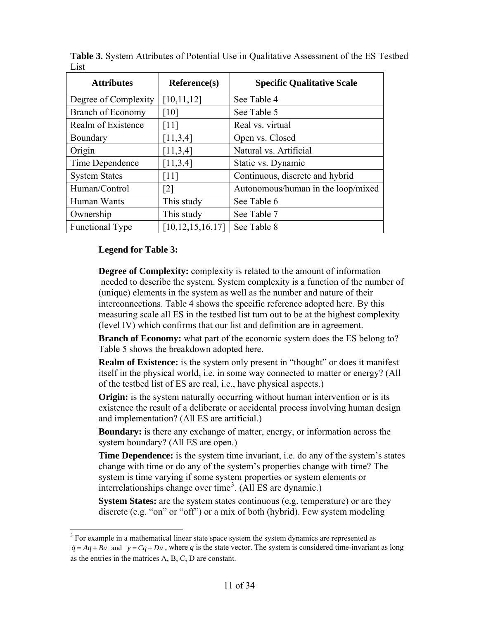| <b>Attributes</b>        | Reference(s)         | <b>Specific Qualitative Scale</b>  |
|--------------------------|----------------------|------------------------------------|
| Degree of Complexity     | [10, 11, 12]         | See Table 4                        |
| <b>Branch of Economy</b> | [10]                 | See Table 5                        |
| Realm of Existence       | [11]                 | Real vs. virtual                   |
| Boundary                 | [11,3,4]             | Open vs. Closed                    |
| Origin                   | [11,3,4]             | Natural vs. Artificial             |
| Time Dependence          | [11,3,4]             | Static vs. Dynamic                 |
| <b>System States</b>     | [11]                 | Continuous, discrete and hybrid    |
| Human/Control            | [2]                  | Autonomous/human in the loop/mixed |
| Human Wants              | This study           | See Table 6                        |
| Ownership                | This study           | See Table 7                        |
| <b>Functional Type</b>   | [10, 12, 15, 16, 17] | See Table 8                        |

<span id="page-10-0"></span>**Table 3.** System Attributes of Potential Use in Qualitative Assessment of the ES Testbed List

### **Legend for Table 3:**

**Degree of Complexity:** complexity is related to the amount of information needed to describe the system. System complexity is a function of the number of (unique) elements in the system as well as the number and nature of their interconnections. Table 4 shows the specific reference adopted here. By this measuring scale all ES in the testbed list turn out to be at the highest complexity (level IV) which confirms that our list and definition are in agreement.

**Branch of Economy:** what part of the economic system does the ES belong to? Table 5 shows the breakdown adopted here.

**Realm of Existence:** is the system only present in "thought" or does it manifest itself in the physical world, i.e. in some way connected to matter or energy? (All of the testbed list of ES are real, i.e., have physical aspects.)

**Origin:** is the system naturally occurring without human intervention or is its existence the result of a deliberate or accidental process involving human design and implementation? (All ES are artificial.)

**Boundary:** is there any exchange of matter, energy, or information across the system boundary? (All ES are open.)

**Time Dependence:** is the system time invariant, i.e. do any of the system's states change with time or do any of the system's properties change with time? The system is time varying if some system properties or system elements or interrelationships change over time<sup>[3](#page-10-0)</sup>. (All ES are dynamic.)

**System States:** are the system states continuous (e.g. temperature) or are they discrete (e.g. "on" or "off") or a mix of both (hybrid). Few system modeling

<sup>&</sup>lt;sup>3</sup> For example in a mathematical linear state space system the system dynamics are represented as  $\dot{q} = Aq + Bu$  and  $y = Cq + Du$ , where q is the state vector. The system is considered time-invariant as long as the entries in the matrices A, B, C, D are constant.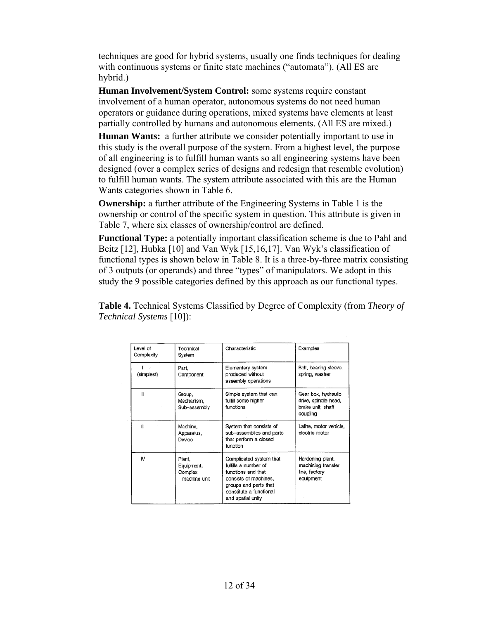techniques are good for hybrid systems, usually one finds techniques for dealing with continuous systems or finite state machines ("automata"). (All ES are hybrid.)

**Human Involvement/System Control:** some systems require constant involvement of a human operator, autonomous systems do not need human operators or guidance during operations, mixed systems have elements at least partially controlled by humans and autonomous elements. (All ES are mixed.)

**Human Wants:** a further attribute we consider potentially important to use in this study is the overall purpose of the system. From a highest level, the purpose of all engineering is to fulfill human wants so all engineering systems have been designed (over a complex series of designs and redesign that resemble evolution) to fulfill human wants. The system attribute associated with this are the Human Wants categories shown in Table 6.

**Ownership:** a further attribute of the Engineering Systems in Table 1 is the ownership or control of the specific system in question. This attribute is given in Table 7, where six classes of ownership/control are defined.

**Functional Type:** a potentially important classification scheme is due to Pahl and Beitz [12], Hubka [10] and Van Wyk [15,16,17]. Van Wyk's classification of functional types is shown below in Table 8. It is a three-by-three matrix consisting of 3 outputs (or operands) and three "types" of manipulators. We adopt in this study the 9 possible categories defined by this approach as our functional types.

**Table 4.** Technical Systems Classified by Degree of Complexity (from *Theory of Technical Systems* [10]):

| Level of<br>Complexity | Technical<br>System                             | Characteristic                                                                                                                                                          | Examples                                                                     |
|------------------------|-------------------------------------------------|-------------------------------------------------------------------------------------------------------------------------------------------------------------------------|------------------------------------------------------------------------------|
| (simplest)             | Part.<br>Component                              | Elementary system<br>produced without<br>assembly operations                                                                                                            | Bolt, bearing sleeve,<br>spring, washer                                      |
| Ш                      | Group,<br>Mechanism,<br>Sub-assembly            | Simple system that can<br>fulfill some higher<br>functions                                                                                                              | Gear box, hydraulic<br>drive, spindle head,<br>brake unit, shaft<br>coupling |
| Ш                      | Machine,<br>Apparatus,<br>Device                | System that consists of<br>sub-assemblies and parts<br>that perform a closed<br>function                                                                                | Lathe, motor vehicle,<br>electric motor                                      |
| IV                     | Plant,<br>Equipment,<br>Complex<br>machine unit | Complicated system that<br>fulfills a number of<br>functions and that<br>consists of machines.<br>groups and parts that<br>constitute a functional<br>and spatial unity | Hardening plant,<br>machining transfer<br>line, factory<br>equipment         |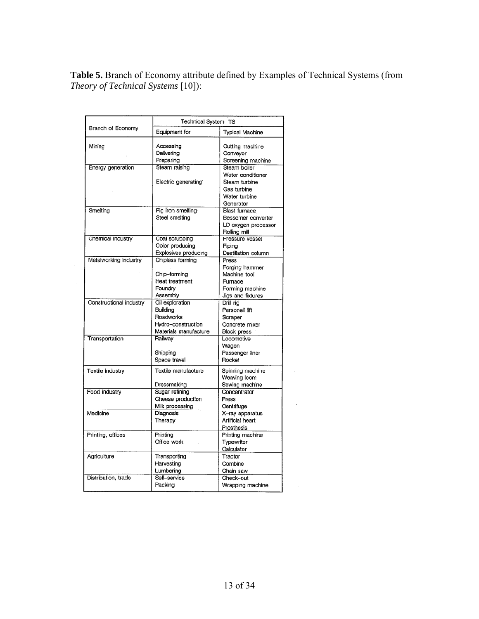**Table 5.** Branch of Economy attribute defined by Examples of Technical Systems (from *Theory of Technical Systems* [10]):

|                          | Technical System TS                                                                     |                                                                                            |  |
|--------------------------|-----------------------------------------------------------------------------------------|--------------------------------------------------------------------------------------------|--|
| <b>Branch of Economy</b> | Equipment for                                                                           | <b>Typical Machine</b>                                                                     |  |
| Mining                   | Accessing<br>Delivering<br>Preparing                                                    | Cutting machine<br>Conveyor<br>Screening machine                                           |  |
| Energy generation        | Steam raising                                                                           | Steam boiler                                                                               |  |
|                          | Electric generating                                                                     | Water conditioner<br>Steam turbine<br>Gas turbine<br>Water turbine<br>Generator            |  |
| Smelting                 | Pig iron smelting<br>Steel smelting                                                     | <b>Blast furnace</b><br>Bessemer converter<br>LD oxygen processor<br>Rolling mill          |  |
| Chemical industry        | Coal scrubbing<br>Color producing<br>Explosives producing                               | Pressure vessel<br>Piping<br>Destillation column                                           |  |
| Metalworking industry    | Chipless forming<br>Chip-forming<br>Heat treatment<br>Foundry<br>Assembly               | Press<br>Forging hammer<br>Machine tool<br>Furnace<br>Forming machine<br>Jigs and fixtures |  |
| Constructional industry  | Oil exploration<br>Building<br>Roadworks<br>Hydro-construction<br>Materials manufacture | Drill rig<br>Personell lift<br>Scraper<br>Concrete mixer<br><b>Block press</b>             |  |
| Transportation           | Railway<br>Shipping<br>Space travel                                                     | Locomotive<br>Wagon<br>Passenger liner<br>Rocket                                           |  |
| Textile industry         | Textile manufacture<br>Dressmaking                                                      | Spinning machine<br>Weaving loom<br>Sewing machine                                         |  |
| Food industry            | Sugar refining<br>Cheese production<br>Milk processing                                  | Concentrator<br>Press<br>Centrifuge                                                        |  |
| Medicine                 | Diagnosis<br>Therapy                                                                    | X-ray apparatus<br>Artificial heart<br>Prosthesis                                          |  |
| Printing, offices        | Printing<br>Office work                                                                 | Printing machine<br>Typewriter<br>Calculator                                               |  |
| Agriculture              | Transporting<br>Harvesting<br>Lumbering                                                 | Tractor<br>Combine<br>Chain saw                                                            |  |
| Distribution, trade      | Self-service<br>Packing                                                                 | Check-out<br>Wrapping machine                                                              |  |

 $\sim$   $\sim$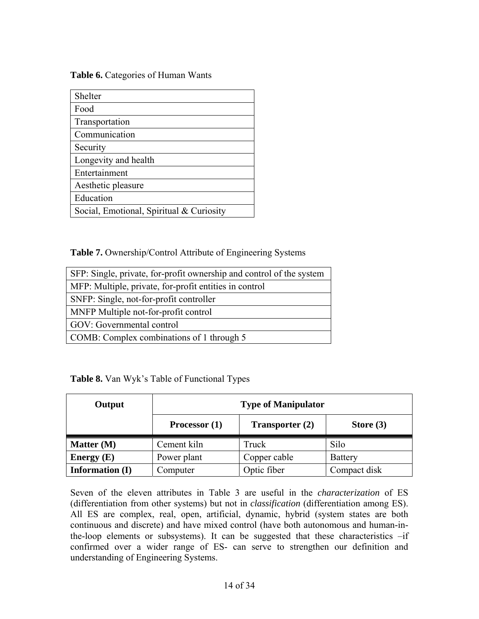Table **6.** Categories of Human Wants

| Shelter                                  |
|------------------------------------------|
| Food                                     |
| Transportation                           |
| Communication                            |
| Security                                 |
| Longevity and health                     |
| Entertainment                            |
| Aesthetic pleasure                       |
| Education                                |
| Social, Emotional, Spiritual & Curiosity |

**Table 7.** Ownership/Control Attribute of Engineering Systems

| SFP: Single, private, for-profit ownership and control of the system |
|----------------------------------------------------------------------|
| MFP: Multiple, private, for-profit entities in control               |
| SNFP: Single, not-for-profit controller                              |
| MNFP Multiple not-for-profit control                                 |
| GOV: Governmental control                                            |
| COMB: Complex combinations of 1 through 5                            |

| Output                 | <b>Type of Manipulator</b> |              |                |  |  |  |
|------------------------|----------------------------|--------------|----------------|--|--|--|
|                        | Processor (1)              | Store $(3)$  |                |  |  |  |
| <b>Matter</b> (M)      | Cement kiln                | Truck        | Silo           |  |  |  |
| Energy $(E)$           | Power plant                | Copper cable | <b>Battery</b> |  |  |  |
| <b>Information (I)</b> | Computer                   | Optic fiber  | Compact disk   |  |  |  |

Seven of the eleven attributes in Table 3 are useful in the *characterization* of ES (differentiation from other systems) but not in *classification* (differentiation among ES). All ES are complex, real, open, artificial, dynamic, hybrid (system states are both continuous and discrete) and have mixed control (have both autonomous and human-inthe-loop elements or subsystems). It can be suggested that these characteristics –if confirmed over a wider range of ES- can serve to strengthen our definition and understanding of Engineering Systems.

**Table 8.** Van Wyk's Table of Functional Types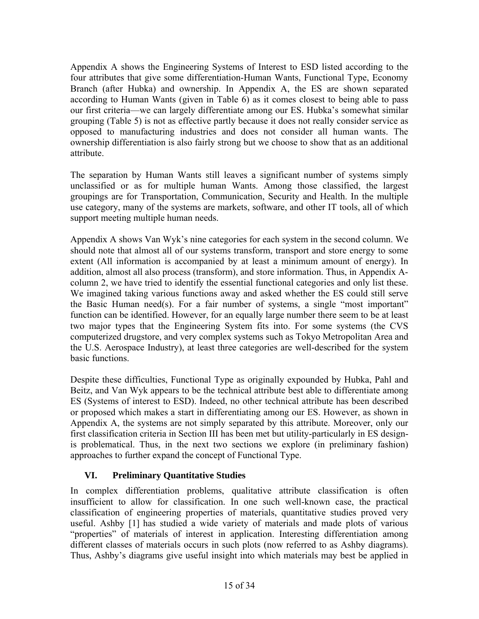<span id="page-14-0"></span>Appendix A shows the Engineering Systems of Interest to ESD listed according to the four attributes that give some differentiation-Human Wants, Functional Type, Economy Branch (after Hubka) and ownership. In Appendix A, the ES are shown separated according to Human Wants (given in Table 6) as it comes closest to being able to pass our first criteria—we can largely differentiate among our ES. Hubka's somewhat similar grouping (Table 5) is not as effective partly because it does not really consider service as opposed to manufacturing industries and does not consider all human wants. The ownership differentiation is also fairly strong but we choose to show that as an additional attribute.

The separation by Human Wants still leaves a significant number of systems simply unclassified or as for multiple human Wants. Among those classified, the largest groupings are for Transportation, Communication, Security and Health. In the multiple use category, many of the systems are markets, software, and other IT tools, all of which support meeting multiple human needs.

Appendix A shows Van Wyk's nine categories for each system in the second column. We should note that almost all of our systems transform, transport and store energy to some extent (All information is accompanied by at least a minimum amount of energy). In addition, almost all also process (transform), and store information. Thus, in Appendix Acolumn 2, we have tried to identify the essential functional categories and only list these. We imagined taking various functions away and asked whether the ES could still serve the Basic Human need(s). For a fair number of systems, a single "most important" function can be identified. However, for an equally large number there seem to be at least two major types that the Engineering System fits into. For some systems (the CVS computerized drugstore, and very complex systems such as Tokyo Metropolitan Area and the U.S. Aerospace Industry), at least three categories are well-described for the system basic functions.

Despite these difficulties, Functional Type as originally expounded by Hubka, Pahl and Beitz, and Van Wyk appears to be the technical attribute best able to differentiate among ES (Systems of interest to ESD). Indeed, no other technical attribute has been described or proposed which makes a start in differentiating among our ES. However, as shown in Appendix A, the systems are not simply separated by this attribute. Moreover, only our first classification criteria in Section III has been met but utility-particularly in ES designis problematical. Thus, in the next two sections we explore (in preliminary fashion) approaches to further expand the concept of Functional Type.

# **VI. Preliminary Quantitative Studies**

In complex differentiation problems, qualitative attribute classification is often insufficient to allow for classification. In one such well-known case, the practical classification of engineering properties of materials, quantitative studies proved very useful. Ashby [1] has studied a wide variety of materials and made plots of various "properties" of materials of interest in application. Interesting differentiation among different classes of materials occurs in such plots (now referred to as Ashby diagrams). Thus, Ashby's diagrams give useful insight into which materials may best be applied in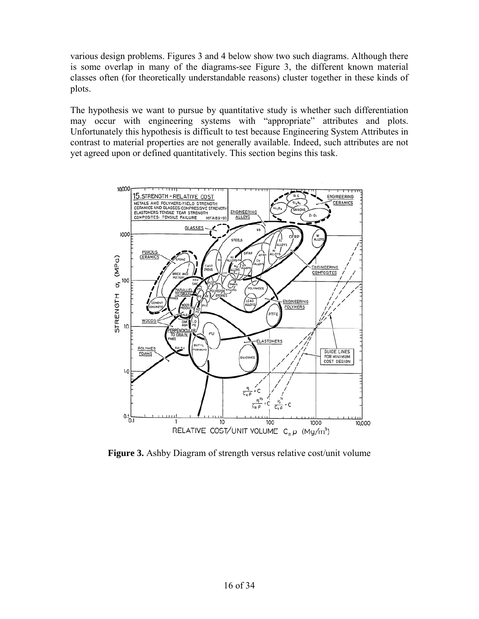various design problems. Figures 3 and 4 below show two such diagrams. Although there is some overlap in many of the diagrams-see Figure 3, the different known material classes often (for theoretically understandable reasons) cluster together in these kinds of plots.

The hypothesis we want to pursue by quantitative study is whether such differentiation may occur with engineering systems with "appropriate" attributes and plots. Unfortunately this hypothesis is difficult to test because Engineering System Attributes in contrast to material properties are not generally available. Indeed, such attributes are not yet agreed upon or defined quantitatively. This section begins this task.



**Figure 3.** Ashby Diagram of strength versus relative cost/unit volume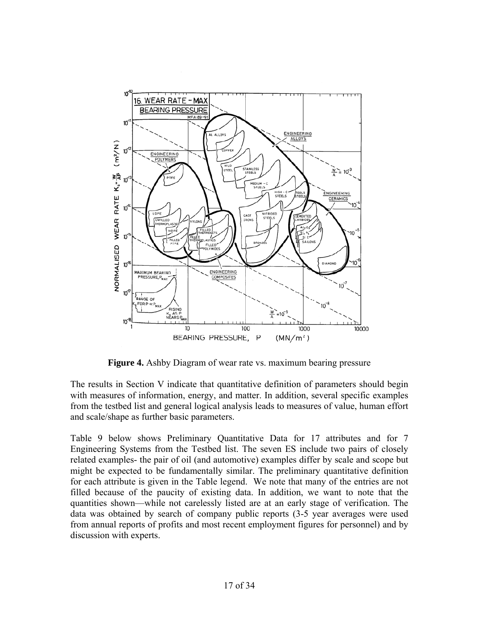

**Figure 4.** Ashby Diagram of wear rate vs. maximum bearing pressure

The results in Section V indicate that quantitative definition of parameters should begin with measures of information, energy, and matter. In addition, several specific examples from the testbed list and general logical analysis leads to measures of value, human effort and scale/shape as further basic parameters.

Table 9 below shows Preliminary Quantitative Data for 17 attributes and for 7 Engineering Systems from the Testbed list. The seven ES include two pairs of closely related examples- the pair of oil (and automotive) examples differ by scale and scope but might be expected to be fundamentally similar. The preliminary quantitative definition for each attribute is given in the Table legend. We note that many of the entries are not filled because of the paucity of existing data. In addition, we want to note that the quantities shown—while not carelessly listed are at an early stage of verification. The data was obtained by search of company public reports (3-5 year averages were used from annual reports of profits and most recent employment figures for personnel) and by discussion with experts.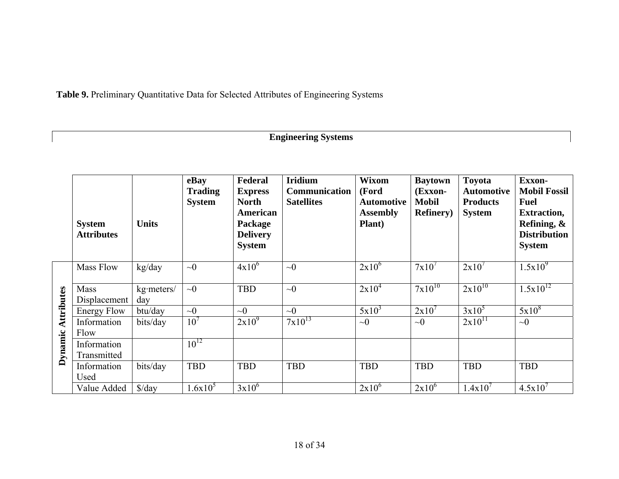**Table 9.** Preliminary Quantitative Data for Selected Attributes of Engineering Systems

|                   | <b>Engineering Systems</b>         |                             |                                         |                                                                                                      |                                                      |                                                                         |                                                                |                                                                        |                                                                                                                           |
|-------------------|------------------------------------|-----------------------------|-----------------------------------------|------------------------------------------------------------------------------------------------------|------------------------------------------------------|-------------------------------------------------------------------------|----------------------------------------------------------------|------------------------------------------------------------------------|---------------------------------------------------------------------------------------------------------------------------|
|                   | <b>System</b><br><b>Attributes</b> | <b>Units</b>                | eBay<br><b>Trading</b><br><b>System</b> | Federal<br><b>Express</b><br><b>North</b><br>American<br>Package<br><b>Delivery</b><br><b>System</b> | <b>Iridium</b><br>Communication<br><b>Satellites</b> | <b>Wixom</b><br>(Ford<br><b>Automotive</b><br><b>Assembly</b><br>Plant) | <b>Baytown</b><br>(Exxon-<br><b>Mobil</b><br><b>Refinery</b> ) | <b>Toyota</b><br><b>Automotive</b><br><b>Products</b><br><b>System</b> | Exxon-<br><b>Mobil Fossil</b><br><b>Fuel</b><br><b>Extraction,</b><br>Refining, &<br><b>Distribution</b><br><b>System</b> |
|                   | Mass Flow                          | kg/day                      | $\sim 0$                                | $4x10^6$                                                                                             | $\sim 0$                                             | $2x10^6$                                                                | $7x10^7$                                                       | $2x10^7$                                                               | $1.5x10^{9}$                                                                                                              |
| <b>Attributes</b> | Mass<br>Displacement               | kg·meters/<br>day           | $\sim 0$                                | <b>TBD</b>                                                                                           | $\sim 0$                                             | $2x10^4$                                                                | $7x10^{10}$                                                    | $2x10^{10}$                                                            | $1.5x10^{12}$                                                                                                             |
|                   | <b>Energy Flow</b>                 | btu/day                     | $\sim 0$                                | $\sim 0$                                                                                             | $\sim 0$                                             | $5x10^3$                                                                | $2x10^7$                                                       | $3x10^5$                                                               | $5x10^8$                                                                                                                  |
|                   | Information<br>Flow                | bits/day                    | 10 <sup>7</sup>                         | $2x10^9$                                                                                             | $7x10^{13}$                                          | $\sim 0$                                                                | $\sim 0$                                                       | $2x10^{11}$                                                            | $\sim 0$                                                                                                                  |
| Dynamic           | Information<br>Transmitted         |                             | $10^{12}$                               |                                                                                                      |                                                      |                                                                         |                                                                |                                                                        |                                                                                                                           |
|                   | Information<br>Used                | bits/day                    | <b>TBD</b>                              | <b>TBD</b>                                                                                           | <b>TBD</b>                                           | <b>TBD</b>                                                              | <b>TBD</b>                                                     | <b>TBD</b>                                                             | <b>TBD</b>                                                                                                                |
|                   | Value Added                        | $\frac{\text{d}}{\text{d}}$ | $1.6x10^5$                              | $3x10^6$                                                                                             |                                                      | $2x10^6$                                                                | $2x10^6$                                                       | $1.4x10^{7}$                                                           | 4.5x10'                                                                                                                   |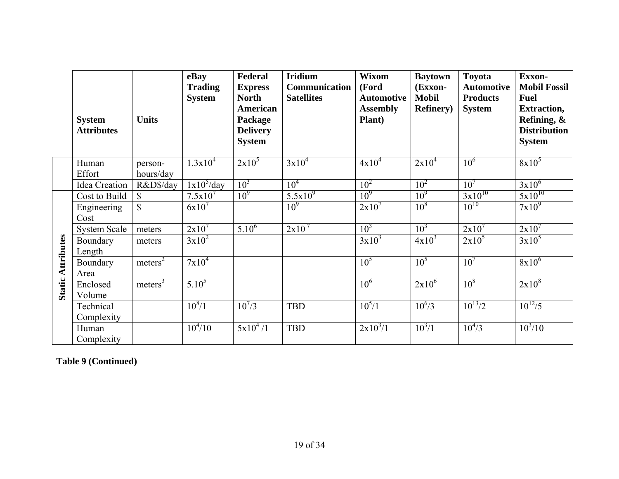|                          | <b>System</b><br><b>Attributes</b> | <b>Units</b>         | eBay<br><b>Trading</b><br><b>System</b> | Federal<br><b>Express</b><br><b>North</b><br>American<br>Package<br><b>Delivery</b><br><b>System</b> | <b>Iridium</b><br>Communication<br><b>Satellites</b> | <b>Wixom</b><br>(Ford<br><b>Automotive</b><br><b>Assembly</b><br>Plant) | <b>Baytown</b><br>(Exxon-<br><b>Mobil</b><br><b>Refinery</b> ) | <b>Toyota</b><br><b>Automotive</b><br><b>Products</b><br><b>System</b> | Exxon-<br><b>Mobil Fossil</b><br><b>Fuel</b><br><b>Extraction,</b><br>Refining, &<br><b>Distribution</b><br><b>System</b> |
|--------------------------|------------------------------------|----------------------|-----------------------------------------|------------------------------------------------------------------------------------------------------|------------------------------------------------------|-------------------------------------------------------------------------|----------------------------------------------------------------|------------------------------------------------------------------------|---------------------------------------------------------------------------------------------------------------------------|
|                          | Human<br>Effort                    | person-<br>hours/day | $1.3x10^{4}$                            | $2x10^5$                                                                                             | $3x\overline{10^4}$                                  | 4x10 <sup>4</sup>                                                       | 2x10 <sup>4</sup>                                              | $10^{6}$                                                               | $8x10^5$                                                                                                                  |
|                          | Idea Creation                      | R&D\$/day            | $1x10^5$ /day                           | 10 <sup>3</sup>                                                                                      | $10^{4}$                                             | $10^{2}$                                                                | $10^{2}$                                                       | 10 <sup>7</sup>                                                        | $3x10^6$                                                                                                                  |
|                          | Cost to Build                      | $\mathbb{S}$         | $7.5x10^7$                              | 10 <sup>9</sup>                                                                                      | $5.5x10^{9}$                                         | 10 <sup>9</sup>                                                         | 10 <sup>9</sup>                                                | $3x10^{10}$                                                            | $5x10^{10}$                                                                                                               |
|                          | Engineering<br>Cost                | $\mathbb{S}$         | 6x10'                                   |                                                                                                      | 10 <sup>9</sup>                                      | $2x10^7$                                                                | 10 <sup>8</sup>                                                | $10^{10}$                                                              | $7x10^9$                                                                                                                  |
|                          | <b>System Scale</b>                | meters               | $2x10^7$                                | $5.10^{6}$                                                                                           | $2x10^7$                                             | $10^{3}$                                                                | $10^{3}$                                                       | $2x10^7$                                                               | $2x10^7$                                                                                                                  |
| <b>Static Attributes</b> | Boundary<br>Length                 | meters               | $3x10^2$                                |                                                                                                      |                                                      | $3x10^3$                                                                | $4x10^3$                                                       | $2x10^5$                                                               | $3x10^5$                                                                                                                  |
|                          | Boundary<br>Area                   | meters <sup>2</sup>  | $7x10^4$                                |                                                                                                      |                                                      | 10 <sup>5</sup>                                                         | 10 <sup>5</sup>                                                | 10 <sup>7</sup>                                                        | $8x10^6$                                                                                                                  |
|                          | Enclosed                           | meters <sup>3</sup>  | $5.10^{5}$                              |                                                                                                      |                                                      | $10^{6}$                                                                | $2x10^6$                                                       | $10^{8}$                                                               | 2x10 <sup>8</sup>                                                                                                         |
|                          | Volume                             |                      |                                         |                                                                                                      |                                                      |                                                                         |                                                                |                                                                        |                                                                                                                           |
|                          | Technical<br>Complexity            |                      | $10^{8}/1$                              | $10^{7}/3$                                                                                           | <b>TBD</b>                                           | $10^5/1$                                                                | $10^{6}/3$                                                     | $10^{13}/2$                                                            | $10^{12}/5$                                                                                                               |
|                          | Human<br>Complexity                |                      | $10^{4}/10$                             | $5x\overline{10^4/1}$                                                                                | <b>TBD</b>                                           | $2x10^{3}/1$                                                            | $10^3/1$                                                       | $10^{4}/3$                                                             | $10^3/10$                                                                                                                 |

**Table 9 (Continued)**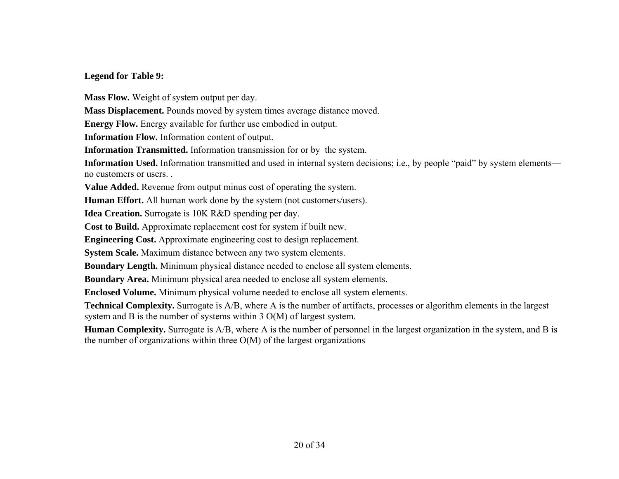## **Legend for Table 9:**

**Mass Flow.** Weight of system output per day.

**Mass Displacement.** Pounds moved by system times average distance moved.

**Energy Flow.** Energy available for further use embodied in output.

**Information Flow.** Information content of output.

**Information Transmitted.** Information transmission for or by the system.

**Information Used.** Information transmitted and used in internal system decisions; i.e., by people "paid" by system elements no customers or users. .

**Value Added.** Revenue from output minus cost of operating the system.

**Human Effort.** All human work done by the system (not customers/users).

**Idea Creation.** Surrogate is 10K R&D spending per day.

**Cost to Build.** Approximate replacement cost for system if built new.

**Engineering Cost.** Approximate engineering cost to design replacement.

**System Scale.** Maximum distance between any two system elements.

**Boundary Length.** Minimum physical distance needed to enclose all system elements.

**Boundary Area.** Minimum physical area needed to enclose all system elements.

**Enclosed Volume.** Minimum physical volume needed to enclose all system elements.

**Technical Complexity.** Surrogate is A/B, where A is the number of artifacts, processes or algorithm elements in the largest system and B is the number of systems within 3 O(M) of largest system.

**Human Complexity.** Surrogate is A/B, where A is the number of personnel in the largest organization in the system, and B is the number of organizations within three  $O(M)$  of the largest organizations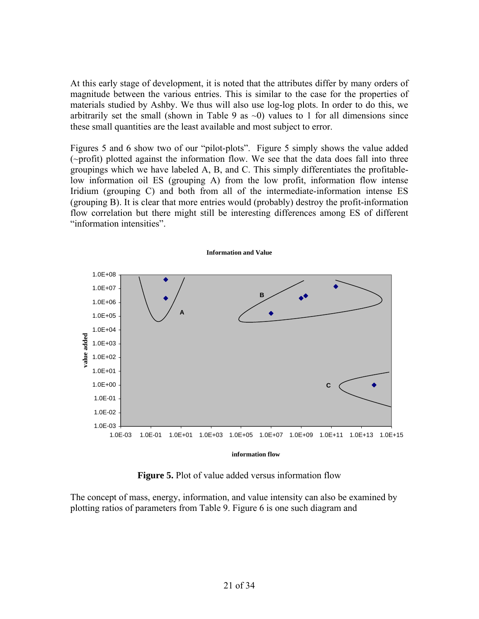At this early stage of development, it is noted that the attributes differ by many orders of magnitude between the various entries. This is similar to the case for the properties of materials studied by Ashby. We thus will also use log-log plots. In order to do this, we arbitrarily set the small (shown in Table 9 as  $\sim$ 0) values to 1 for all dimensions since these small quantities are the least available and most subject to error.

Figures 5 and 6 show two of our "pilot-plots". Figure 5 simply shows the value added (~profit) plotted against the information flow. We see that the data does fall into three groupings which we have labeled A, B, and C. This simply differentiates the profitablelow information oil ES (grouping A) from the low profit, information flow intense Iridium (grouping C) and both from all of the intermediate-information intense ES (grouping B). It is clear that more entries would (probably) destroy the profit-information flow correlation but there might still be interesting differences among ES of different "information intensities".



**Figure 5.** Plot of value added versus information flow

The concept of mass, energy, information, and value intensity can also be examined by plotting ratios of parameters from Table 9. Figure 6 is one such diagram and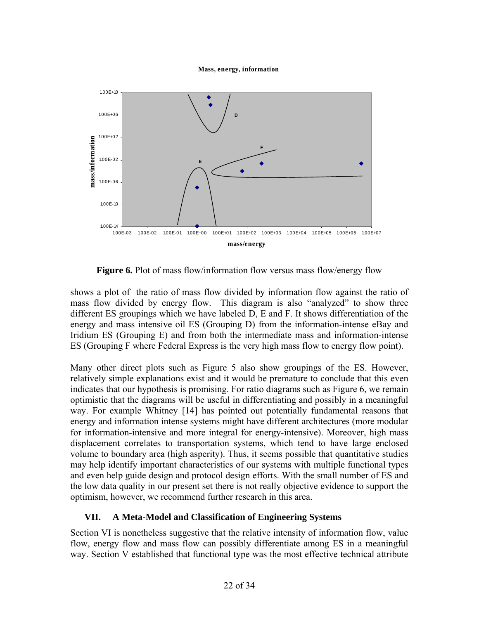### **Mass, energy, information**

<span id="page-21-0"></span>

**Figure 6.** Plot of mass flow/information flow versus mass flow/energy flow

shows a plot of the ratio of mass flow divided by information flow against the ratio of mass flow divided by energy flow. This diagram is also "analyzed" to show three different ES groupings which we have labeled D, E and F. It shows differentiation of the energy and mass intensive oil ES (Grouping D) from the information-intense eBay and Iridium ES (Grouping E) and from both the intermediate mass and information-intense ES (Grouping F where Federal Express is the very high mass flow to energy flow point).

Many other direct plots such as Figure 5 also show groupings of the ES. However, relatively simple explanations exist and it would be premature to conclude that this even indicates that our hypothesis is promising. For ratio diagrams such as Figure 6, we remain optimistic that the diagrams will be useful in differentiating and possibly in a meaningful way. For example Whitney [14] has pointed out potentially fundamental reasons that energy and information intense systems might have different architectures (more modular for information-intensive and more integral for energy-intensive). Moreover, high mass displacement correlates to transportation systems, which tend to have large enclosed volume to boundary area (high asperity). Thus, it seems possible that quantitative studies may help identify important characteristics of our systems with multiple functional types and even help guide design and protocol design efforts. With the small number of ES and the low data quality in our present set there is not really objective evidence to support the optimism, however, we recommend further research in this area.

## **VII. A Meta-Model and Classification of Engineering Systems**

Section VI is nonetheless suggestive that the relative intensity of information flow, value flow, energy flow and mass flow can possibly differentiate among ES in a meaningful way. Section V established that functional type was the most effective technical attribute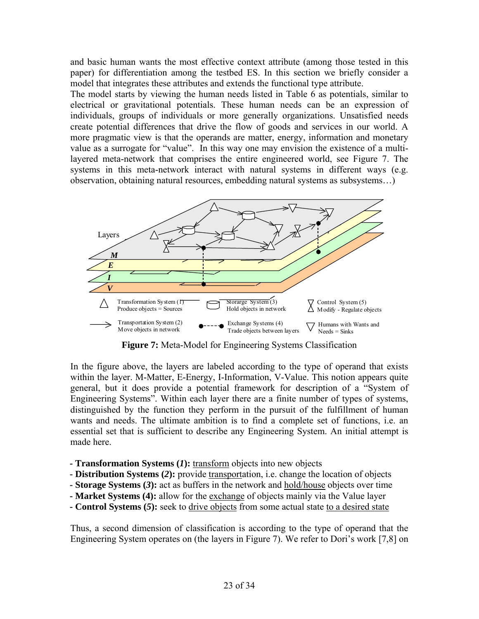and basic human wants the most effective context attribute (among those tested in this paper) for differentiation among the testbed ES. In this section we briefly consider a model that integrates these attributes and extends the functional type attribute.

The model starts by viewing the human needs listed in Table 6 as potentials, similar to electrical or gravitational potentials. These human needs can be an expression of individuals, groups of individuals or more generally organizations. Unsatisfied needs create potential differences that drive the flow of goods and services in our world. A more pragmatic view is that the operands are matter, energy, information and monetary value as a surrogate for "value". In this way one may envision the existence of a multilayered meta-network that comprises the entire engineered world, see Figure 7. The systems in this meta-network interact with natural systems in different ways (e.g. observation, obtaining natural resources, embedding natural systems as subsystems…)



**Figure 7:** Meta-Model for Engineering Systems Classification

In the figure above, the layers are labeled according to the type of operand that exists within the layer. M-Matter, E-Energy, I-Information, V-Value. This notion appears quite general, but it does provide a potential framework for description of a "System of Engineering Systems". Within each layer there are a finite number of types of systems, distinguished by the function they perform in the pursuit of the fulfillment of human wants and needs. The ultimate ambition is to find a complete set of functions, i.e. an essential set that is sufficient to describe any Engineering System. An initial attempt is made here.

- **Transformation Systems (***1***):** transform objects into new objects
- **Distribution Systems (***2***):** provide transportation, i.e. change the location of objects
- **Storage Systems (***3***):** act as buffers in the network and hold/house objects over time
- **Market Systems (4):** allow for the exchange of objects mainly via the Value layer
- **Control Systems (***5***):** seek to drive objects from some actual state to a desired state

Thus, a second dimension of classification is according to the type of operand that the Engineering System operates on (the layers in Figure 7). We refer to Dori's work [7,8] on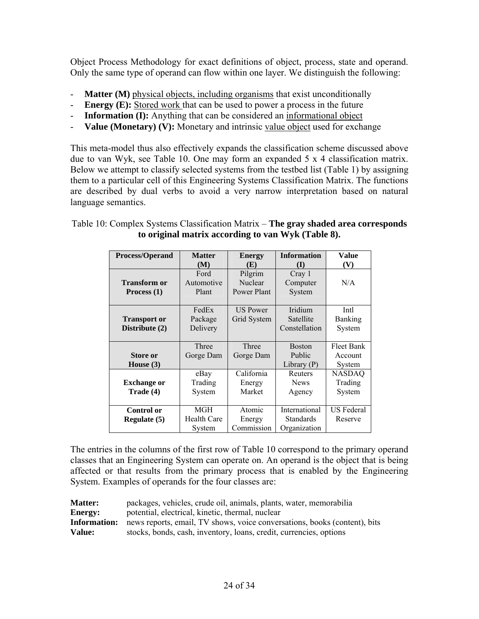Object Process Methodology for exact definitions of object, process, state and operand. Only the same type of operand can flow within one layer. We distinguish the following:

- **Matter (M)** physical objects, including organisms that exist unconditionally
- **Energy (E):** Stored work that can be used to power a process in the future
- **Information (I):** Anything that can be considered an informational object
- **Value (Monetary) (V):** Monetary and intrinsic value object used for exchange

This meta-model thus also effectively expands the classification scheme discussed above due to van Wyk, see Table 10. One may form an expanded 5 x 4 classification matrix. Below we attempt to classify selected systems from the testbed list (Table 1) by assigning them to a particular cell of this Engineering Systems Classification Matrix. The functions are described by dual verbs to avoid a very narrow interpretation based on natural language semantics.

| Table 10: Complex Systems Classification Matrix – The gray shaded area corresponds |
|------------------------------------------------------------------------------------|
| to original matrix according to van Wyk (Table 8).                                 |

| <b>Process/Operand</b> | <b>Matter</b> | <b>Energy</b>   | <b>Information</b> | Value             |
|------------------------|---------------|-----------------|--------------------|-------------------|
|                        | (M)           | (E)             | (I)                | (V)               |
|                        | Ford          | Pilgrim         | Cray 1             |                   |
| <b>Transform or</b>    | Automotive    | <b>Nuclear</b>  | Computer           | N/A               |
| Process $(1)$          | Plant         | Power Plant     | System             |                   |
|                        |               |                 |                    |                   |
|                        | FedEx         | <b>US Power</b> | Iridium            | Intl              |
| <b>Transport or</b>    | Package       | Grid System     | Satellite          | <b>Banking</b>    |
| Distribute (2)         | Delivery      |                 | Constellation      | System            |
|                        |               |                 |                    |                   |
|                        | Three         | Three           | <b>Boston</b>      | <b>Fleet Bank</b> |
| Store or               | Gorge Dam     | Gorge Dam       | Public             | Account           |
| House $(3)$            |               |                 | Library $(P)$      | System            |
|                        | eBay          | California      | Reuters            | <b>NASDAO</b>     |
| <b>Exchange or</b>     | Trading       | Energy          | <b>News</b>        | Trading           |
| Trade (4)              | System        | Market          | Agency             | System            |
|                        |               |                 |                    |                   |
| <b>Control or</b>      | MGH           | Atomic          | International      | <b>US</b> Federal |
| Regulate (5)           | Health Care   | Energy          | <b>Standards</b>   | Reserve           |
|                        | System        | Commission      | Organization       |                   |

The entries in the columns of the first row of Table 10 correspond to the primary operand classes that an Engineering System can operate on. An operand is the object that is being affected or that results from the primary process that is enabled by the Engineering System. Examples of operands for the four classes are:

| <b>Matter:</b>      | packages, vehicles, crude oil, animals, plants, water, memorabilia        |
|---------------------|---------------------------------------------------------------------------|
| <b>Energy:</b>      | potential, electrical, kinetic, thermal, nuclear                          |
| <b>Information:</b> | news reports, email, TV shows, voice conversations, books (content), bits |
| <b>Value:</b>       | stocks, bonds, cash, inventory, loans, credit, currencies, options        |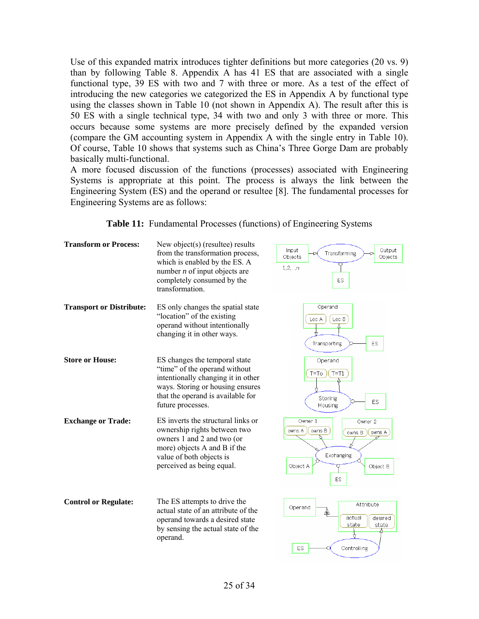Use of this expanded matrix introduces tighter definitions but more categories (20 vs. 9) than by following Table 8. Appendix A has 41 ES that are associated with a single functional type, 39 ES with two and 7 with three or more. As a test of the effect of introducing the new categories we categorized the ES in Appendix A by functional type using the classes shown in Table 10 (not shown in Appendix A). The result after this is 50 ES with a single technical type, 34 with two and only 3 with three or more. This occurs because some systems are more precisely defined by the expanded version (compare the GM accounting system in Appendix A with the single entry in Table 10). Of course, Table 10 shows that systems such as China's Three Gorge Dam are probably basically multi-functional.

A more focused discussion of the functions (processes) associated with Engineering Systems is appropriate at this point. The process is always the link between the Engineering System (ES) and the operand or resultee [8]. The fundamental processes for Engineering Systems are as follows:

#### **Transform or Process:** New object(s) (resultee) results Input Output from the transformation process, Transforming Objects Objects which is enabled by the ES. A  $1, 2, ..., n$ number *n* of input objects are completely consumed by the ES transformation. **Transport or Distribute:** ES only changes the spatial state Operand "location" of the existing  $Loc A$   $Loc B$ operand without intentionally changing it in other ways. Transporting  $ES$ **Store or House:** ES changes the temporal state Onerand "time" of the operand without  $T=T_0$   $(T=T_1)$ intentionally changing it in other ways. Storing or housing ensures that the operand is available for Storing ES. future processes. Housing **Exchange or Trade:** ES inverts the structural links or Owner 1 Owner<sub>2</sub> ownership rights between two owns A (owns B) owns B | owns A owners 1 and 2 and two (or more) objects A and B if the Exchanging value of both objects is perceived as being equal. Object A Object B ES **Control or Regulate:** The ES attempts to drive the Attribute Operand actual state of an attribute of the actual desired operand towards a desired state state state by sensing the actual state of the operand. Controlling **FS**

**Table 11:** Fundamental Processes (functions) of Engineering Systems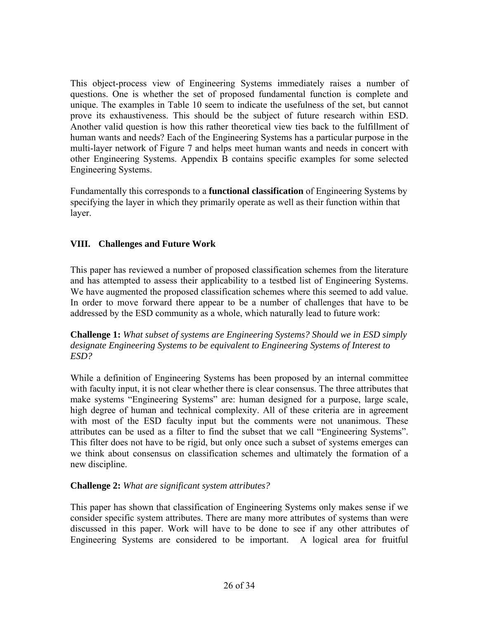<span id="page-25-0"></span>This object-process view of Engineering Systems immediately raises a number of questions. One is whether the set of proposed fundamental function is complete and unique. The examples in Table 10 seem to indicate the usefulness of the set, but cannot prove its exhaustiveness. This should be the subject of future research within ESD. Another valid question is how this rather theoretical view ties back to the fulfillment of human wants and needs? Each of the Engineering Systems has a particular purpose in the multi-layer network of Figure 7 and helps meet human wants and needs in concert with other Engineering Systems. Appendix B contains specific examples for some selected Engineering Systems.

Fundamentally this corresponds to a **functional classification** of Engineering Systems by specifying the layer in which they primarily operate as well as their function within that layer.

# **VIII. Challenges and Future Work**

This paper has reviewed a number of proposed classification schemes from the literature and has attempted to assess their applicability to a testbed list of Engineering Systems. We have augmented the proposed classification schemes where this seemed to add value. In order to move forward there appear to be a number of challenges that have to be addressed by the ESD community as a whole, which naturally lead to future work:

**Challenge 1:** *What subset of systems are Engineering Systems? Should we in ESD simply designate Engineering Systems to be equivalent to Engineering Systems of Interest to ESD?* 

While a definition of Engineering Systems has been proposed by an internal committee with faculty input, it is not clear whether there is clear consensus. The three attributes that make systems "Engineering Systems" are: human designed for a purpose, large scale, high degree of human and technical complexity. All of these criteria are in agreement with most of the ESD faculty input but the comments were not unanimous. These attributes can be used as a filter to find the subset that we call "Engineering Systems". This filter does not have to be rigid, but only once such a subset of systems emerges can we think about consensus on classification schemes and ultimately the formation of a new discipline.

# **Challenge 2:** *What are significant system attributes?*

This paper has shown that classification of Engineering Systems only makes sense if we consider specific system attributes. There are many more attributes of systems than were discussed in this paper. Work will have to be done to see if any other attributes of Engineering Systems are considered to be important. A logical area for fruitful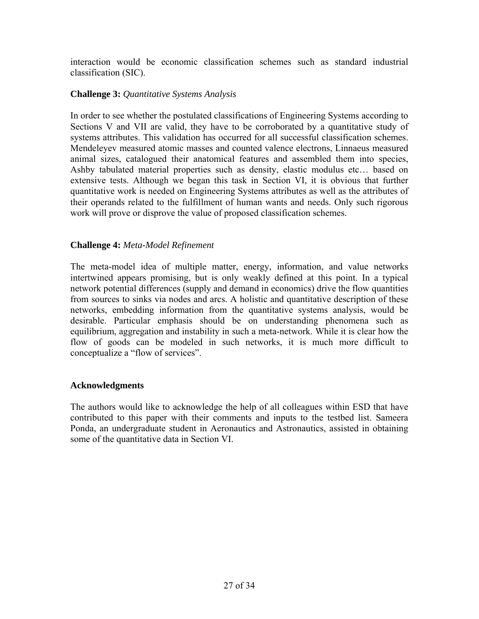interaction would be economic classification schemes such as standard industrial classification (SIC).

### **Challenge 3:** *Quantitative Systems Analysis*

In order to see whether the postulated classifications of Engineering Systems according to Sections V and VII are valid, they have to be corroborated by a quantitative study of systems attributes. This validation has occurred for all successful classification schemes. Mendeleyev measured atomic masses and counted valence electrons, Linnaeus measured animal sizes, catalogued their anatomical features and assembled them into species, Ashby tabulated material properties such as density, elastic modulus etc… based on extensive tests. Although we began this task in Section VI, it is obvious that further quantitative work is needed on Engineering Systems attributes as well as the attributes of their operands related to the fulfillment of human wants and needs. Only such rigorous work will prove or disprove the value of proposed classification schemes.

### **Challenge 4:** *Meta-Model Refinement*

The meta-model idea of multiple matter, energy, information, and value networks intertwined appears promising, but is only weakly defined at this point. In a typical network potential differences (supply and demand in economics) drive the flow quantities from sources to sinks via nodes and arcs. A holistic and quantitative description of these networks, embedding information from the quantitative systems analysis, would be desirable. Particular emphasis should be on understanding phenomena such as equilibrium, aggregation and instability in such a meta-network. While it is clear how the flow of goods can be modeled in such networks, it is much more difficult to conceptualize a "flow of services".

### **Acknowledgments**

The authors would like to acknowledge the help of all colleagues within ESD that have contributed to this paper with their comments and inputs to the testbed list. Sameera Ponda, an undergraduate student in Aeronautics and Astronautics, assisted in obtaining some of the quantitative data in Section VI.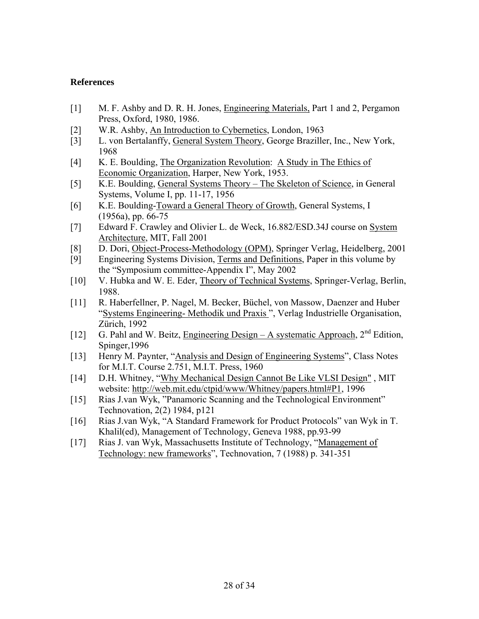### <span id="page-27-0"></span>**References**

- [1] M. F. Ashby and D. R. H. Jones, Engineering Materials, Part 1 and 2, Pergamon Press, Oxford, 1980, 1986.
- [2] W.R. Ashby, An Introduction to Cybernetics, London, 1963
- [3] L. von Bertalanffy, General System Theory, George Braziller, Inc., New York, 1968
- [4] K. E. Boulding, The Organization Revolution: A Study in The Ethics of Economic Organization, Harper, New York, 1953.
- [5] K.E. Boulding, General Systems Theory The Skeleton of Science, in General Systems, Volume I, pp. 11-17, 1956
- [6] K.E. Boulding-Toward a General Theory of Growth, General Systems, I (1956a), pp. 66-75
- [7] Edward F. Crawley and Olivier L. de Weck, 16.882/ESD.34J course on System Architecture, MIT, Fall 2001
- [8] D. Dori, Object-Process-Methodology (OPM), Springer Verlag, Heidelberg, 2001
- [9] Engineering Systems Division, Terms and Definitions, Paper in this volume by the "Symposium committee-Appendix I", May 2002
- [10] V. Hubka and W. E. Eder, Theory of Technical Systems, Springer-Verlag, Berlin, 1988.
- [11] R. Haberfellner, P. Nagel, M. Becker, Büchel, von Massow, Daenzer and Huber "Systems Engineering- Methodik und Praxis ", Verlag Industrielle Organisation, Zürich, 1992
- [12] G. Pahl and W. Beitz, Engineering Design A systematic Approach,  $2^{nd}$  Edition, Spinger,1996
- [13] Henry M. Paynter, "Analysis and Design of Engineering Systems", Class Notes for M.I.T. Course 2.751, M.I.T. Press, 1960
- [14] D.H. Whitney, "Why Mechanical Design Cannot Be Like VLSI Design", MIT website: [http://web.mit.edu/ctpid/www/Whitney/papers.html#P1,](http://web.mit.edu/ctpid/www/Whitney/papers.html#P1) 1996
- [15] Rias J.van Wyk, "Panamoric Scanning and the Technological Environment" Technovation, 2(2) 1984, p121
- [16] Rias J.van Wyk, "A Standard Framework for Product Protocols" van Wyk in T. Khalil(ed), Management of Technology, Geneva 1988, pp.93-99
- [17] Rias J. van Wyk, Massachusetts Institute of Technology, "Management of Technology: new frameworks", Technovation, 7 (1988) p. 341-351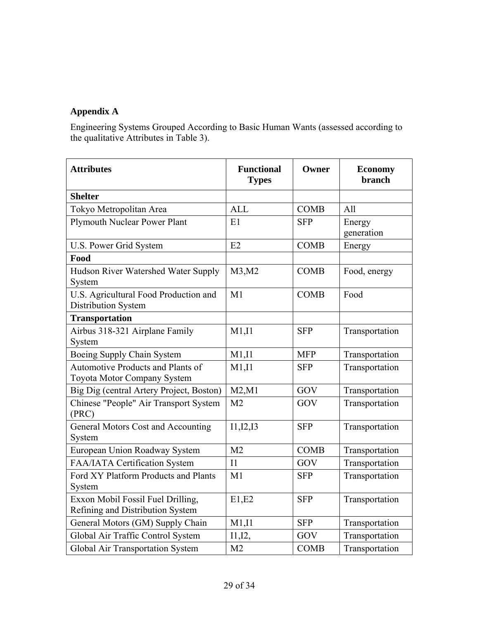# <span id="page-28-0"></span>**Appendix A**

Engineering Systems Grouped According to Basic Human Wants (assessed according to the qualitative Attributes in Table 3).

| <b>Attributes</b>                                                     | <b>Functional</b><br><b>Types</b> | Owner       | <b>Economy</b><br>branch |
|-----------------------------------------------------------------------|-----------------------------------|-------------|--------------------------|
| <b>Shelter</b>                                                        |                                   |             |                          |
| Tokyo Metropolitan Area                                               | <b>ALL</b>                        | <b>COMB</b> | All                      |
| <b>Plymouth Nuclear Power Plant</b>                                   | E1                                | <b>SFP</b>  | Energy<br>generation     |
| U.S. Power Grid System                                                | E2                                | <b>COMB</b> | Energy                   |
| Food                                                                  |                                   |             |                          |
| Hudson River Watershed Water Supply<br>System                         | M3,M2                             | <b>COMB</b> | Food, energy             |
| U.S. Agricultural Food Production and<br>Distribution System          | M1                                | <b>COMB</b> | Food                     |
| <b>Transportation</b>                                                 |                                   |             |                          |
| Airbus 318-321 Airplane Family<br>System                              | M1, I1                            | <b>SFP</b>  | Transportation           |
| Boeing Supply Chain System                                            | M1, I1                            | <b>MFP</b>  | Transportation           |
| Automotive Products and Plants of<br>Toyota Motor Company System      | M1, I1                            | <b>SFP</b>  | Transportation           |
| Big Dig (central Artery Project, Boston)                              | M2, M1                            | GOV         | Transportation           |
| Chinese "People" Air Transport System<br>(PRC)                        | M <sub>2</sub>                    | GOV         | Transportation           |
| General Motors Cost and Accounting<br>System                          | I1,I2,I3                          | <b>SFP</b>  | Transportation           |
| European Union Roadway System                                         | M <sub>2</sub>                    | <b>COMB</b> | Transportation           |
| FAA/IATA Certification System                                         | I <sub>1</sub>                    | GOV         | Transportation           |
| Ford XY Platform Products and Plants<br>System                        | M1                                | <b>SFP</b>  | Transportation           |
| Exxon Mobil Fossil Fuel Drilling,<br>Refining and Distribution System | E1,E2                             | <b>SFP</b>  | Transportation           |
| General Motors (GM) Supply Chain                                      | M1, I1                            | <b>SFP</b>  | Transportation           |
| Global Air Traffic Control System                                     | I1,I2,                            | GOV         | Transportation           |
| Global Air Transportation System                                      | M <sub>2</sub>                    | <b>COMB</b> | Transportation           |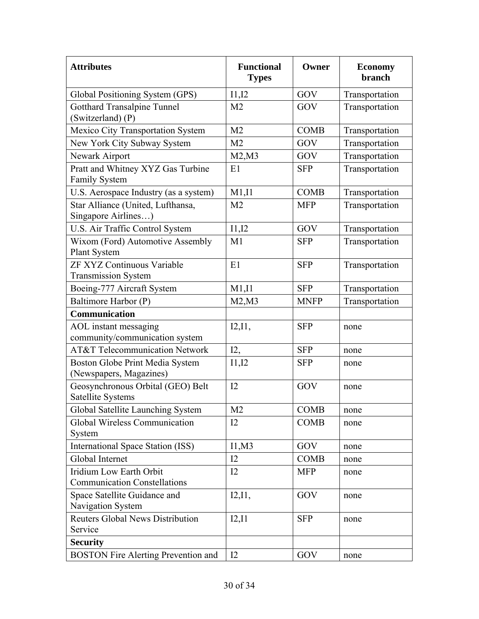| <b>Attributes</b>                                               | <b>Functional</b><br><b>Types</b> | Owner       | <b>Economy</b><br><b>branch</b> |
|-----------------------------------------------------------------|-----------------------------------|-------------|---------------------------------|
| Global Positioning System (GPS)                                 | I1,I2                             | GOV         | Transportation                  |
| Gotthard Transalpine Tunnel<br>(Switzerland) (P)                | M <sub>2</sub>                    | GOV         | Transportation                  |
| Mexico City Transportation System                               | M <sub>2</sub>                    | <b>COMB</b> | Transportation                  |
| New York City Subway System                                     | M <sub>2</sub>                    | GOV         | Transportation                  |
| Newark Airport                                                  | M2, M3                            | GOV         | Transportation                  |
| Pratt and Whitney XYZ Gas Turbine<br><b>Family System</b>       | E1                                | <b>SFP</b>  | Transportation                  |
| U.S. Aerospace Industry (as a system)                           | M1, I1                            | <b>COMB</b> | Transportation                  |
| Star Alliance (United, Lufthansa,<br>Singapore Airlines)        | M <sub>2</sub>                    | <b>MFP</b>  | Transportation                  |
| U.S. Air Traffic Control System                                 | I1,I2                             | GOV         | Transportation                  |
| Wixom (Ford) Automotive Assembly<br><b>Plant System</b>         | M1                                | <b>SFP</b>  | Transportation                  |
| <b>ZF XYZ Continuous Variable</b><br><b>Transmission System</b> | E1                                | <b>SFP</b>  | Transportation                  |
| Boeing-777 Aircraft System                                      | M1, I1                            | <b>SFP</b>  | Transportation                  |
| Baltimore Harbor (P)                                            | M2, M3                            | <b>MNFP</b> | Transportation                  |
| Communication                                                   |                                   |             |                                 |
| AOL instant messaging<br>community/communication system         | I2, I1,                           | <b>SFP</b>  | none                            |
| <b>AT&amp;T Telecommunication Network</b>                       | I2,                               | <b>SFP</b>  | none                            |
| Boston Globe Print Media System<br>(Newspapers, Magazines)      | I1,I2                             | <b>SFP</b>  | none                            |
| Geosynchronous Orbital (GEO) Belt<br>Satellite Systems          | I2                                | GOV         | none                            |
| Global Satellite Launching System                               | M <sub>2</sub>                    | <b>COMB</b> | none                            |
| Global Wireless Communication<br>System                         | 12                                | <b>COMB</b> | none                            |
| International Space Station (ISS)                               | I1,M3                             | GOV         | none                            |
| Global Internet                                                 | I2                                | <b>COMB</b> | none                            |
| Iridium Low Earth Orbit<br><b>Communication Constellations</b>  | I2                                | <b>MFP</b>  | none                            |
| Space Satellite Guidance and<br>Navigation System               | I2,I1,                            | GOV         | none                            |
| <b>Reuters Global News Distribution</b><br>Service              | I2,I1                             | <b>SFP</b>  | none                            |
| <b>Security</b>                                                 |                                   |             |                                 |
| <b>BOSTON Fire Alerting Prevention and</b>                      | 12                                | GOV         | none                            |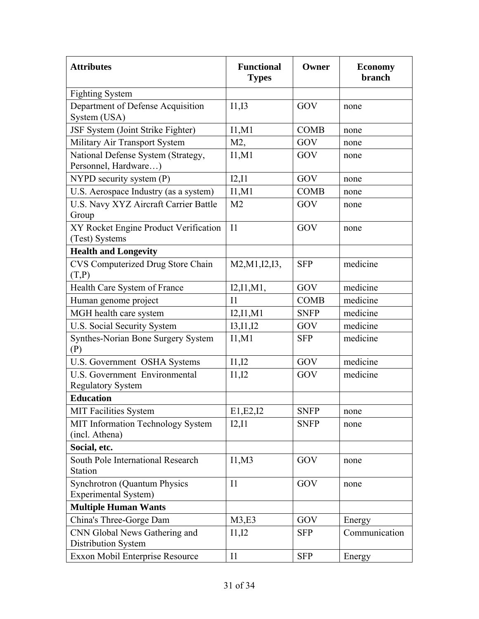| <b>Attributes</b>                                            | <b>Functional</b><br><b>Types</b> | Owner       | <b>Economy</b><br>branch |
|--------------------------------------------------------------|-----------------------------------|-------------|--------------------------|
| <b>Fighting System</b>                                       |                                   |             |                          |
| Department of Defense Acquisition<br>System (USA)            | I1,I3                             | GOV         | none                     |
| JSF System (Joint Strike Fighter)                            | I1,M1                             | <b>COMB</b> | none                     |
| Military Air Transport System                                | M2,                               | GOV         | none                     |
| National Defense System (Strategy,<br>Personnel, Hardware)   | I1,M1                             | GOV         | none                     |
| NYPD security system $(P)$                                   | I2,I1                             | GOV         | none                     |
| U.S. Aerospace Industry (as a system)                        | I1,M1                             | <b>COMB</b> | none                     |
| U.S. Navy XYZ Aircraft Carrier Battle<br>Group               | M <sub>2</sub>                    | GOV         | none                     |
| XY Rocket Engine Product Verification<br>(Test) Systems      | $\mathbf{I}$                      | GOV         | none                     |
| <b>Health and Longevity</b>                                  |                                   |             |                          |
| <b>CVS Computerized Drug Store Chain</b><br>(T,P)            | M2, M1, I2, I3,                   | <b>SFP</b>  | medicine                 |
| Health Care System of France                                 | I2,I1,M1,                         | GOV         | medicine                 |
| Human genome project                                         | I <sub>1</sub>                    | <b>COMB</b> | medicine                 |
| MGH health care system                                       | I2,I1,M1                          | <b>SNFP</b> | medicine                 |
| U.S. Social Security System                                  | I3, I1, I2                        | GOV         | medicine                 |
| Synthes-Norian Bone Surgery System<br>(P)                    | I1,M1                             | <b>SFP</b>  | medicine                 |
| U.S. Government OSHA Systems                                 | I1,I2                             | GOV         | medicine                 |
| U.S. Government Environmental<br><b>Regulatory System</b>    | I1,I2                             | GOV         | medicine                 |
| <b>Education</b>                                             |                                   |             |                          |
| <b>MIT Facilities System</b>                                 | E1, E2, I2                        | <b>SNFP</b> | none                     |
| <b>MIT Information Technology System</b><br>(incl. Athena)   | I2,I1                             | <b>SNFP</b> | none                     |
| Social, etc.                                                 |                                   |             |                          |
| South Pole International Research<br><b>Station</b>          | I1,M3                             | GOV         | none                     |
| <b>Synchrotron (Quantum Physics)</b><br>Experimental System) | I <sub>1</sub>                    | GOV         | none                     |
| <b>Multiple Human Wants</b>                                  |                                   |             |                          |
| China's Three-Gorge Dam                                      | M3,E3                             | GOV         | Energy                   |
| CNN Global News Gathering and<br>Distribution System         | I1,I2                             | <b>SFP</b>  | Communication            |
| Exxon Mobil Enterprise Resource                              | I <sub>1</sub>                    | <b>SFP</b>  | Energy                   |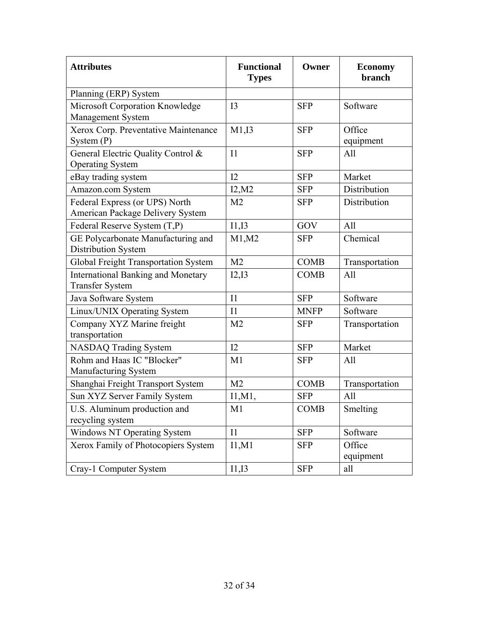| <b>Attributes</b>                                                  | <b>Functional</b><br><b>Types</b> | Owner       | <b>Economy</b><br><b>branch</b> |
|--------------------------------------------------------------------|-----------------------------------|-------------|---------------------------------|
| Planning (ERP) System                                              |                                   |             |                                 |
| Microsoft Corporation Knowledge<br>Management System               | I3                                | <b>SFP</b>  | Software                        |
| Xerox Corp. Preventative Maintenance<br>System $(P)$               | M1,I3                             | <b>SFP</b>  | Office<br>equipment             |
| General Electric Quality Control &<br><b>Operating System</b>      | I <sub>1</sub>                    | <b>SFP</b>  | All                             |
| eBay trading system                                                | I2                                | <b>SFP</b>  | Market                          |
| Amazon.com System                                                  | I2,M2                             | <b>SFP</b>  | Distribution                    |
| Federal Express (or UPS) North<br>American Package Delivery System | M <sub>2</sub>                    | <b>SFP</b>  | Distribution                    |
| Federal Reserve System (T,P)                                       | I1,I3                             | GOV         | All                             |
| GE Polycarbonate Manufacturing and<br>Distribution System          | M1,M2                             | <b>SFP</b>  | Chemical                        |
| Global Freight Transportation System                               | M <sub>2</sub>                    | <b>COMB</b> | Transportation                  |
| <b>International Banking and Monetary</b><br>Transfer System       | I2,I3                             | <b>COMB</b> | All                             |
| Java Software System                                               | I <sub>1</sub>                    | <b>SFP</b>  | Software                        |
| Linux/UNIX Operating System                                        | I <sub>1</sub>                    | <b>MNFP</b> | Software                        |
| Company XYZ Marine freight<br>transportation                       | M <sub>2</sub>                    | <b>SFP</b>  | Transportation                  |
| <b>NASDAQ Trading System</b>                                       | I2                                | <b>SFP</b>  | Market                          |
| Rohm and Haas IC "Blocker"<br>Manufacturing System                 | M <sub>1</sub>                    | <b>SFP</b>  | All                             |
| Shanghai Freight Transport System                                  | M <sub>2</sub>                    | <b>COMB</b> | Transportation                  |
| Sun XYZ Server Family System                                       | I1,M1,                            | <b>SFP</b>  | All                             |
| U.S. Aluminum production and<br>recycling system                   | M1                                | <b>COMB</b> | Smelting                        |
| Windows NT Operating System                                        | I <sub>1</sub>                    | <b>SFP</b>  | Software                        |
| Xerox Family of Photocopiers System                                | I1,M1                             | <b>SFP</b>  | Office<br>equipment             |
| Cray-1 Computer System                                             | I1,I3                             | <b>SFP</b>  | all                             |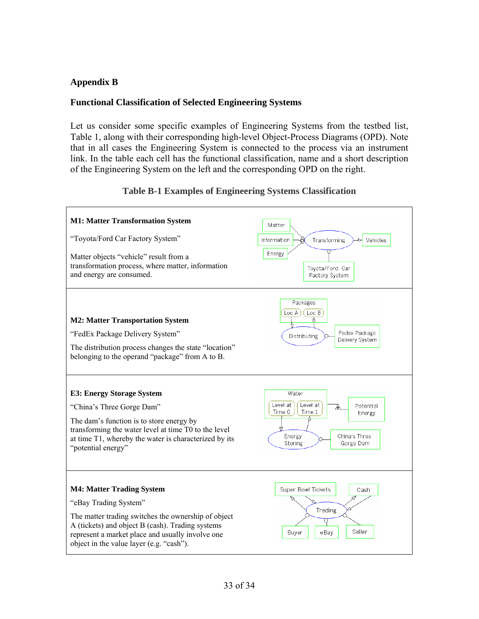## <span id="page-32-0"></span>**Appendix B**

### **Functional Classification of Selected Engineering Systems**

Let us consider some specific examples of Engineering Systems from the testbed list, Table 1, along with their corresponding high-level Object-Process Diagrams (OPD). Note that in all cases the Engineering System is connected to the process via an instrument link. In the table each cell has the functional classification, name and a short description of the Engineering System on the left and the corresponding OPD on the right.



### **Table B-1 Examples of Engineering Systems Classification**

object in the value layer (e.g. "cash").